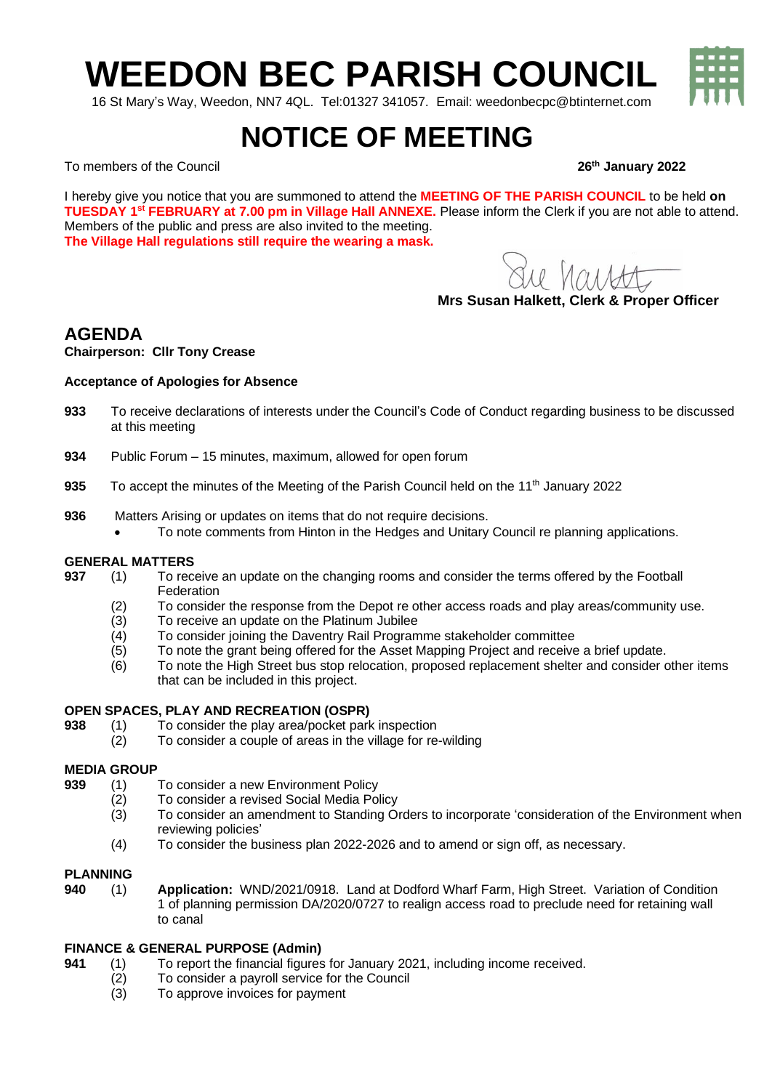# **WEEDON BEC PARISH COUNCIL**

16 St Mary's Way, Weedon, NN7 4QL. Tel:01327 341057. Email: weedonbecpc@btinternet.com

## **NOTICE OF MEETING**

To members of the Council **26th January 2022**

I hereby give you notice that you are summoned to attend the **MEETING OF THE PARISH COUNCIL** to be held **on TUESDAY 1 st FEBRUARY at 7.00 pm in Village Hall ANNEXE.** Please inform the Clerk if you are not able to attend. Members of the public and press are also invited to the meeting. **The Village Hall regulations still require the wearing a mask.**

Sue harrett

**Mrs Susan Halkett, Clerk & Proper Officer**

### **AGENDA**

**Chairperson: Cllr Tony Crease**

#### **Acceptance of Apologies for Absence**

- **933** To receive declarations of interests under the Council's Code of Conduct regarding business to be discussed at this meeting
- **934** Public Forum 15 minutes, maximum, allowed for open forum
- **935** To accept the minutes of the Meeting of the Parish Council held on the 11<sup>th</sup> January 2022
- **936** Matters Arising or updates on items that do not require decisions.
	- To note comments from Hinton in the Hedges and Unitary Council re planning applications.

#### **GENERAL MATTERS**

- **937** (1) To receive an update on the changing rooms and consider the terms offered by the Football Federation
	- (2) To consider the response from the Depot re other access roads and play areas/community use.
	- (3) To receive an update on the Platinum Jubilee
	- (4) To consider joining the Daventry Rail Programme stakeholder committee
	- (5) To note the grant being offered for the Asset Mapping Project and receive a brief update.
	- (6) To note the High Street bus stop relocation, proposed replacement shelter and consider other items that can be included in this project.

#### **OPEN SPACES, PLAY AND RECREATION (OSPR)**

- **938** (1) To consider the play area/pocket park inspection
	- (2) To consider a couple of areas in the village for re-wilding

#### **MEDIA GROUP**

- **939** (1) To consider a new Environment Policy
	- (2) To consider a revised Social Media Policy
	- (3) To consider an amendment to Standing Orders to incorporate 'consideration of the Environment when reviewing policies'
	- (4) To consider the business plan 2022-2026 and to amend or sign off, as necessary.

#### **PLANNING**

**940** (1) **Application:** WND/2021/0918. Land at Dodford Wharf Farm, High Street. Variation of Condition 1 of planning permission DA/2020/0727 to realign access road to preclude need for retaining wall to canal

#### **FINANCE & GENERAL PURPOSE (Admin)**

- **941** (1) To report the financial figures for January 2021, including income received.
	- (2) To consider a payroll service for the Council
	- To approve invoices for payment